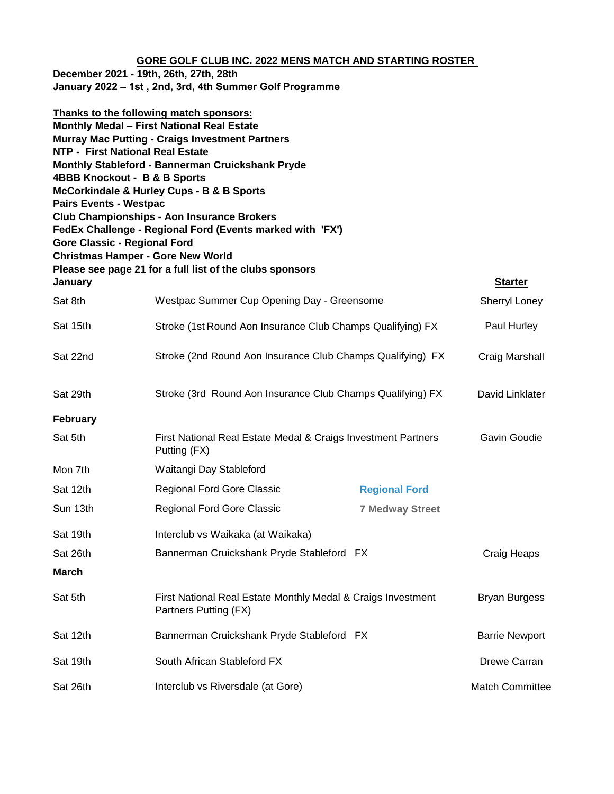## **GORE GOLF CLUB INC. 2022 MENS MATCH AND STARTING ROSTER**

| December 2021 - 19th, 26th, 27th, 28th                  |  |  |
|---------------------------------------------------------|--|--|
| January 2022 - 1st, 2nd, 3rd, 4th Summer Golf Programme |  |  |

| <b>Pairs Events - Westpac</b><br><b>Gore Classic - Regional Ford</b> | Thanks to the following match sponsors:<br>Monthly Medal - First National Real Estate<br><b>Murray Mac Putting - Craigs Investment Partners</b><br><b>NTP - First National Real Estate</b><br>Monthly Stableford - Bannerman Cruickshank Pryde<br>4BBB Knockout - B & B Sports<br>McCorkindale & Hurley Cups - B & B Sports<br><b>Club Championships - Aon Insurance Brokers</b><br>FedEx Challenge - Regional Ford (Events marked with 'FX')<br><b>Christmas Hamper - Gore New World</b><br>Please see page 21 for a full list of the clubs sponsors |                        |                        |
|----------------------------------------------------------------------|-------------------------------------------------------------------------------------------------------------------------------------------------------------------------------------------------------------------------------------------------------------------------------------------------------------------------------------------------------------------------------------------------------------------------------------------------------------------------------------------------------------------------------------------------------|------------------------|------------------------|
| January                                                              |                                                                                                                                                                                                                                                                                                                                                                                                                                                                                                                                                       |                        | <b>Starter</b>         |
| Sat 8th                                                              | Westpac Summer Cup Opening Day - Greensome                                                                                                                                                                                                                                                                                                                                                                                                                                                                                                            |                        | Sherryl Loney          |
| Sat 15th                                                             | Stroke (1st Round Aon Insurance Club Champs Qualifying) FX                                                                                                                                                                                                                                                                                                                                                                                                                                                                                            |                        | Paul Hurley            |
| Sat 22nd                                                             | Stroke (2nd Round Aon Insurance Club Champs Qualifying) FX                                                                                                                                                                                                                                                                                                                                                                                                                                                                                            |                        | Craig Marshall         |
| Sat 29th                                                             | Stroke (3rd Round Aon Insurance Club Champs Qualifying) FX                                                                                                                                                                                                                                                                                                                                                                                                                                                                                            |                        | David Linklater        |
| <b>February</b>                                                      |                                                                                                                                                                                                                                                                                                                                                                                                                                                                                                                                                       |                        |                        |
| Sat 5th                                                              | First National Real Estate Medal & Craigs Investment Partners<br>Putting (FX)                                                                                                                                                                                                                                                                                                                                                                                                                                                                         |                        | Gavin Goudie           |
| Mon 7th                                                              | Waitangi Day Stableford                                                                                                                                                                                                                                                                                                                                                                                                                                                                                                                               |                        |                        |
| Sat 12th                                                             | Regional Ford Gore Classic                                                                                                                                                                                                                                                                                                                                                                                                                                                                                                                            | <b>Regional Ford</b>   |                        |
| Sun 13th                                                             | Regional Ford Gore Classic                                                                                                                                                                                                                                                                                                                                                                                                                                                                                                                            | <b>7 Medway Street</b> |                        |
| Sat 19th                                                             | Interclub vs Waikaka (at Waikaka)                                                                                                                                                                                                                                                                                                                                                                                                                                                                                                                     |                        |                        |
| Sat 26th                                                             | Bannerman Cruickshank Pryde Stableford FX                                                                                                                                                                                                                                                                                                                                                                                                                                                                                                             |                        | <b>Craig Heaps</b>     |
| <b>March</b>                                                         |                                                                                                                                                                                                                                                                                                                                                                                                                                                                                                                                                       |                        |                        |
| Sat 5th                                                              | First National Real Estate Monthly Medal & Craigs Investment<br>Partners Putting (FX)                                                                                                                                                                                                                                                                                                                                                                                                                                                                 |                        | <b>Bryan Burgess</b>   |
| Sat 12th                                                             | Bannerman Cruickshank Pryde Stableford FX                                                                                                                                                                                                                                                                                                                                                                                                                                                                                                             |                        | <b>Barrie Newport</b>  |
| Sat 19th                                                             | South African Stableford FX                                                                                                                                                                                                                                                                                                                                                                                                                                                                                                                           |                        | Drewe Carran           |
| Sat 26th                                                             | Interclub vs Riversdale (at Gore)                                                                                                                                                                                                                                                                                                                                                                                                                                                                                                                     |                        | <b>Match Committee</b> |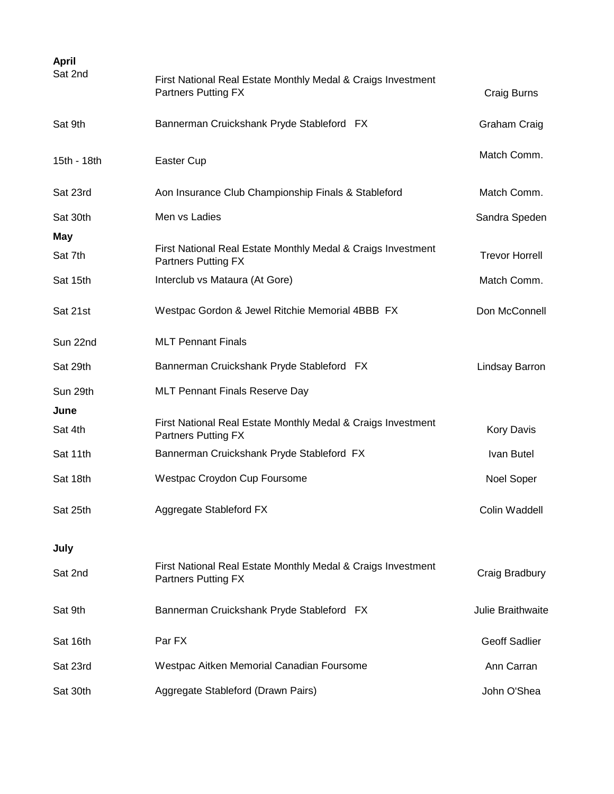| <b>April</b><br>Sat 2nd | First National Real Estate Monthly Medal & Craigs Investment<br><b>Partners Putting FX</b> | Craig Burns           |
|-------------------------|--------------------------------------------------------------------------------------------|-----------------------|
| Sat 9th                 | Bannerman Cruickshank Pryde Stableford FX                                                  | Graham Craig          |
| 15th - 18th             | Easter Cup                                                                                 | Match Comm.           |
| Sat 23rd                | Aon Insurance Club Championship Finals & Stableford                                        | Match Comm.           |
| Sat 30th                | Men vs Ladies                                                                              | Sandra Speden         |
| May<br>Sat 7th          | First National Real Estate Monthly Medal & Craigs Investment<br><b>Partners Putting FX</b> | <b>Trevor Horrell</b> |
| Sat 15th                | Interclub vs Mataura (At Gore)                                                             | Match Comm.           |
| Sat 21st                | Westpac Gordon & Jewel Ritchie Memorial 4BBB FX                                            | Don McConnell         |
| Sun 22nd                | <b>MLT Pennant Finals</b>                                                                  |                       |
| Sat 29th                | Bannerman Cruickshank Pryde Stableford FX                                                  | Lindsay Barron        |
| Sun 29th                | <b>MLT Pennant Finals Reserve Day</b>                                                      |                       |
| June<br>Sat 4th         | First National Real Estate Monthly Medal & Craigs Investment<br><b>Partners Putting FX</b> | <b>Kory Davis</b>     |
| Sat 11th                | Bannerman Cruickshank Pryde Stableford FX                                                  | Ivan Butel            |
| Sat 18th                | Westpac Croydon Cup Foursome                                                               | Noel Soper            |
| Sat 25th                | Aggregate Stableford FX                                                                    | Colin Waddell         |
| July                    |                                                                                            |                       |
| Sat 2nd                 | First National Real Estate Monthly Medal & Craigs Investment<br><b>Partners Putting FX</b> | Craig Bradbury        |
| Sat 9th                 | Bannerman Cruickshank Pryde Stableford FX                                                  | Julie Braithwaite     |
| Sat 16th                | Par FX                                                                                     | <b>Geoff Sadlier</b>  |
| Sat 23rd                | Westpac Aitken Memorial Canadian Foursome                                                  | Ann Carran            |
| Sat 30th                | Aggregate Stableford (Drawn Pairs)                                                         | John O'Shea           |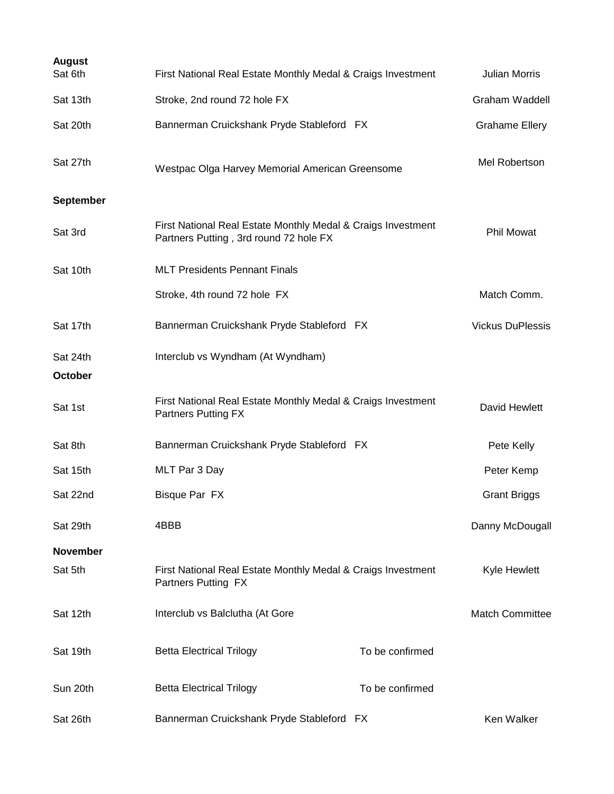| <b>August</b><br>Sat 6th | First National Real Estate Monthly Medal & Craigs Investment                                           |                 | <b>Julian Morris</b>    |
|--------------------------|--------------------------------------------------------------------------------------------------------|-----------------|-------------------------|
| Sat 13th                 | Stroke, 2nd round 72 hole FX                                                                           |                 | Graham Waddell          |
| Sat 20th                 | Bannerman Cruickshank Pryde Stableford FX                                                              |                 | <b>Grahame Ellery</b>   |
| Sat 27th                 | Westpac Olga Harvey Memorial American Greensome                                                        |                 | Mel Robertson           |
| <b>September</b>         |                                                                                                        |                 |                         |
| Sat 3rd                  | First National Real Estate Monthly Medal & Craigs Investment<br>Partners Putting, 3rd round 72 hole FX |                 | <b>Phil Mowat</b>       |
| Sat 10th                 | <b>MLT Presidents Pennant Finals</b>                                                                   |                 |                         |
|                          | Stroke, 4th round 72 hole FX                                                                           |                 | Match Comm.             |
| Sat 17th                 | Bannerman Cruickshank Pryde Stableford FX                                                              |                 | <b>Vickus DuPlessis</b> |
| Sat 24th<br>October      | Interclub vs Wyndham (At Wyndham)                                                                      |                 |                         |
| Sat 1st                  | First National Real Estate Monthly Medal & Craigs Investment<br><b>Partners Putting FX</b>             |                 | David Hewlett           |
| Sat 8th                  | Bannerman Cruickshank Pryde Stableford FX                                                              |                 | Pete Kelly              |
| Sat 15th                 | MLT Par 3 Day                                                                                          |                 | Peter Kemp              |
| Sat 22nd                 | <b>Bisque Par FX</b>                                                                                   |                 | <b>Grant Briggs</b>     |
| Sat 29th                 | 4BBB                                                                                                   |                 | Danny McDougall         |
| <b>November</b>          |                                                                                                        |                 |                         |
| Sat 5th                  | First National Real Estate Monthly Medal & Craigs Investment<br>Partners Putting FX                    |                 | <b>Kyle Hewlett</b>     |
| Sat 12th                 | Interclub vs Balclutha (At Gore                                                                        |                 | <b>Match Committee</b>  |
| Sat 19th                 | <b>Betta Electrical Trilogy</b>                                                                        | To be confirmed |                         |
| Sun 20th                 | <b>Betta Electrical Trilogy</b>                                                                        | To be confirmed |                         |
| Sat 26th                 | Bannerman Cruickshank Pryde Stableford FX                                                              |                 | Ken Walker              |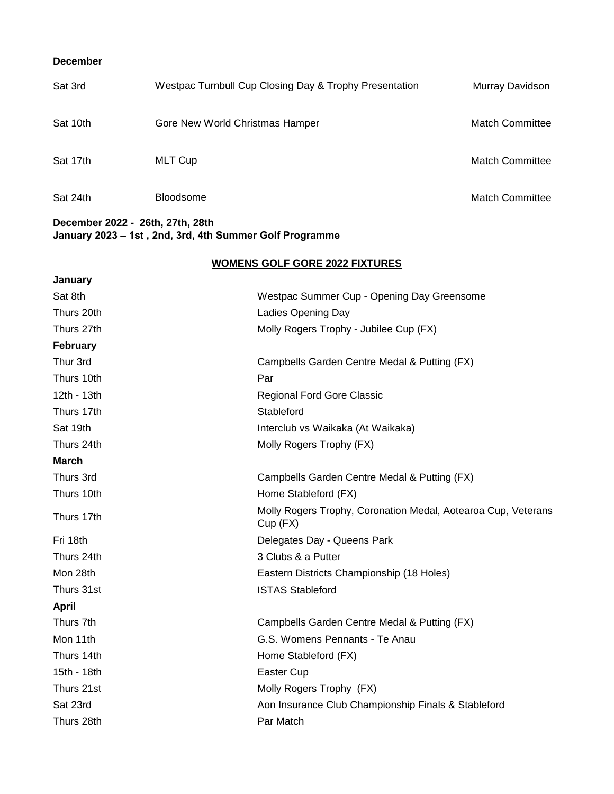## **December**

| Sat 3rd  | Westpac Turnbull Cup Closing Day & Trophy Presentation | Murray Davidson        |
|----------|--------------------------------------------------------|------------------------|
| Sat 10th | Gore New World Christmas Hamper                        | <b>Match Committee</b> |
| Sat 17th | <b>MLT Cup</b>                                         | <b>Match Committee</b> |
| Sat 24th | <b>Bloodsome</b>                                       | <b>Match Committee</b> |

## **December 2022 - 26th, 27th, 28th January 2023 – 1st , 2nd, 3rd, 4th Summer Golf Programme**

## **WOMENS GOLF GORE 2022 FIXTURES**

| January         |                                                                           |
|-----------------|---------------------------------------------------------------------------|
| Sat 8th         | Westpac Summer Cup - Opening Day Greensome                                |
| Thurs 20th      | Ladies Opening Day                                                        |
| Thurs 27th      | Molly Rogers Trophy - Jubilee Cup (FX)                                    |
| <b>February</b> |                                                                           |
| Thur 3rd        | Campbells Garden Centre Medal & Putting (FX)                              |
| Thurs 10th      | Par                                                                       |
| 12th - 13th     | Regional Ford Gore Classic                                                |
| Thurs 17th      | Stableford                                                                |
| Sat 19th        | Interclub vs Waikaka (At Waikaka)                                         |
| Thurs 24th      | Molly Rogers Trophy (FX)                                                  |
| <b>March</b>    |                                                                           |
| Thurs 3rd       | Campbells Garden Centre Medal & Putting (FX)                              |
| Thurs 10th      | Home Stableford (FX)                                                      |
| Thurs 17th      | Molly Rogers Trophy, Coronation Medal, Aotearoa Cup, Veterans<br>Cup (FX) |
| Fri 18th        | Delegates Day - Queens Park                                               |
| Thurs 24th      | 3 Clubs & a Putter                                                        |
| Mon 28th        | Eastern Districts Championship (18 Holes)                                 |
| Thurs 31st      | <b>ISTAS Stableford</b>                                                   |
| April           |                                                                           |
| Thurs 7th       | Campbells Garden Centre Medal & Putting (FX)                              |
| Mon 11th        | G.S. Womens Pennants - Te Anau                                            |
| Thurs 14th      | Home Stableford (FX)                                                      |
| 15th - 18th     | Easter Cup                                                                |
| Thurs 21st      | Molly Rogers Trophy (FX)                                                  |
| Sat 23rd        | Aon Insurance Club Championship Finals & Stableford                       |
| Thurs 28th      | Par Match                                                                 |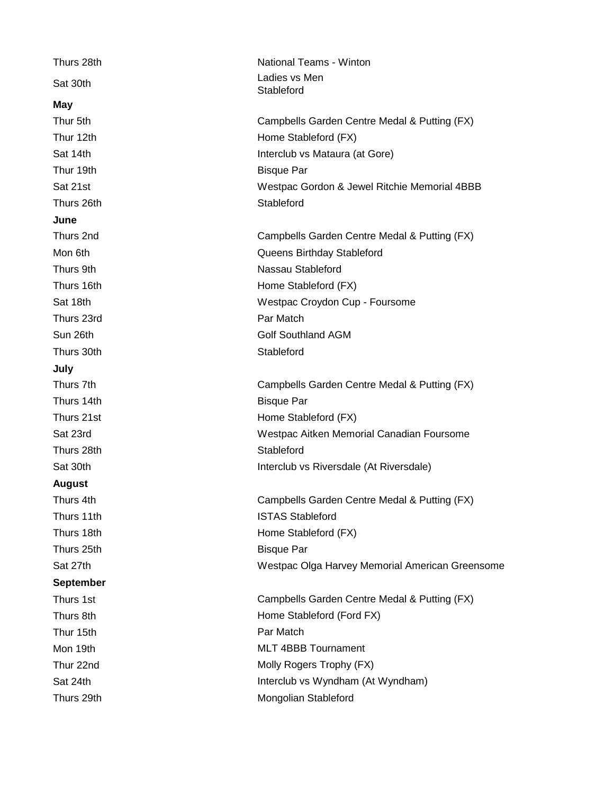| Thurs 28th       | <b>National Teams - Winton</b>                  |
|------------------|-------------------------------------------------|
| Sat 30th         | Ladies vs Men<br>Stableford                     |
| <b>May</b>       |                                                 |
| Thur 5th         | Campbells Garden Centre Medal & Putting (FX)    |
| Thur 12th        | Home Stableford (FX)                            |
| Sat 14th         | Interclub vs Mataura (at Gore)                  |
| Thur 19th        | <b>Bisque Par</b>                               |
| Sat 21st         | Westpac Gordon & Jewel Ritchie Memorial 4BBB    |
| Thurs 26th       | Stableford                                      |
| June             |                                                 |
| Thurs 2nd        | Campbells Garden Centre Medal & Putting (FX)    |
| Mon 6th          | Queens Birthday Stableford                      |
| Thurs 9th        | Nassau Stableford                               |
| Thurs 16th       | Home Stableford (FX)                            |
| Sat 18th         | Westpac Croydon Cup - Foursome                  |
| Thurs 23rd       | Par Match                                       |
| Sun 26th         | <b>Golf Southland AGM</b>                       |
| Thurs 30th       | Stableford                                      |
| July             |                                                 |
| Thurs 7th        | Campbells Garden Centre Medal & Putting (FX)    |
| Thurs 14th       | <b>Bisque Par</b>                               |
| Thurs 21st       | Home Stableford (FX)                            |
| Sat 23rd         | Westpac Aitken Memorial Canadian Foursome       |
| Thurs 28th       | Stableford                                      |
| Sat 30th         | Interclub vs Riversdale (At Riversdale)         |
| <b>August</b>    |                                                 |
| Thurs 4th        | Campbells Garden Centre Medal & Putting (FX)    |
| Thurs 11th       | <b>ISTAS Stableford</b>                         |
| Thurs 18th       | Home Stableford (FX)                            |
| Thurs 25th       | <b>Bisque Par</b>                               |
| Sat 27th         | Westpac Olga Harvey Memorial American Greensome |
| <b>September</b> |                                                 |
| Thurs 1st        | Campbells Garden Centre Medal & Putting (FX)    |
| Thurs 8th        | Home Stableford (Ford FX)                       |
| Thur 15th        | Par Match                                       |
| Mon 19th         | <b>MLT 4BBB Tournament</b>                      |
| Thur 22nd        | Molly Rogers Trophy (FX)                        |
| Sat 24th         | Interclub vs Wyndham (At Wyndham)               |
| Thurs 29th       | Mongolian Stableford                            |